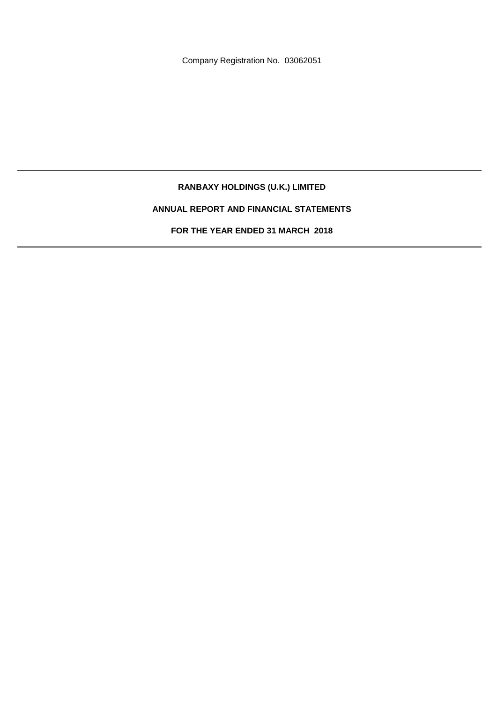Company Registration No. 03062051

# **RANBAXY HOLDINGS (U.K.) LIMITED**

# **ANNUAL REPORT AND FINANCIAL STATEMENTS**

**FOR THE YEAR ENDED 31 MARCH 2018**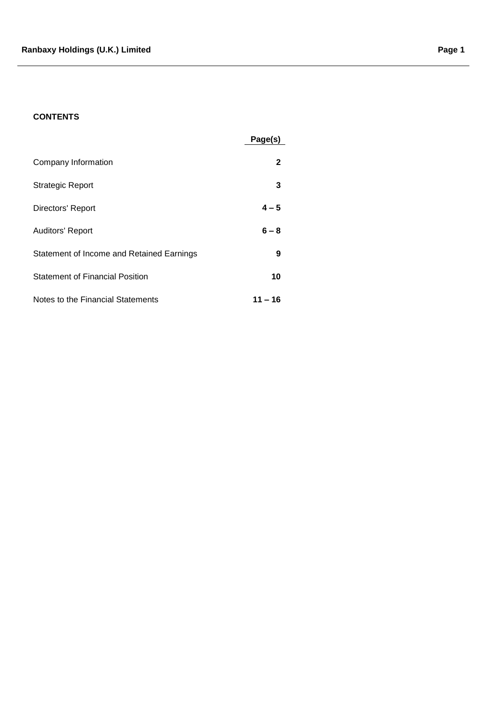# **CONTENTS**

|                                           | Page(s) |
|-------------------------------------------|---------|
| Company Information                       | 2       |
| <b>Strategic Report</b>                   | 3       |
| Directors' Report                         | $4 - 5$ |
| Auditors' Report                          | $6 - 8$ |
| Statement of Income and Retained Earnings | 9       |
| <b>Statement of Financial Position</b>    | 10      |
| Notes to the Financial Statements         | 11 – 16 |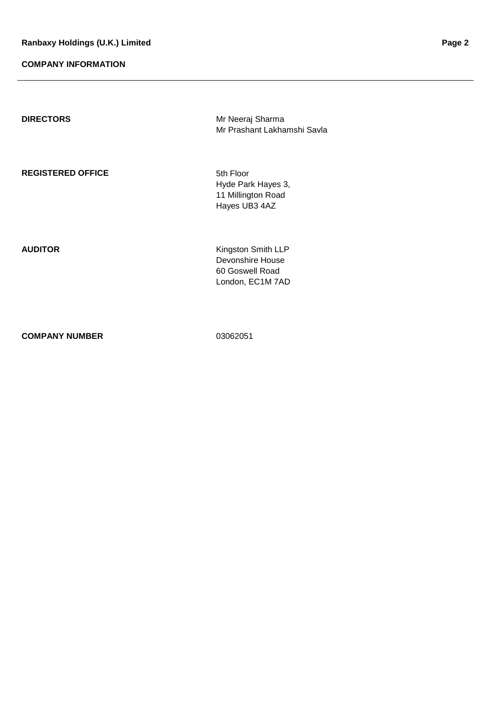# **COMPANY INFORMATION**

| <b>DIRECTORS</b>         | Mr Neeraj Sharma<br>Mr Prashant Lakhamshi Savla                               |
|--------------------------|-------------------------------------------------------------------------------|
| <b>REGISTERED OFFICE</b> | 5th Floor<br>Hyde Park Hayes 3,<br>11 Millington Road<br>Hayes UB3 4AZ        |
| <b>AUDITOR</b>           | Kingston Smith LLP<br>Devonshire House<br>60 Goswell Road<br>London, EC1M 7AD |

**COMPANY NUMBER** 03062051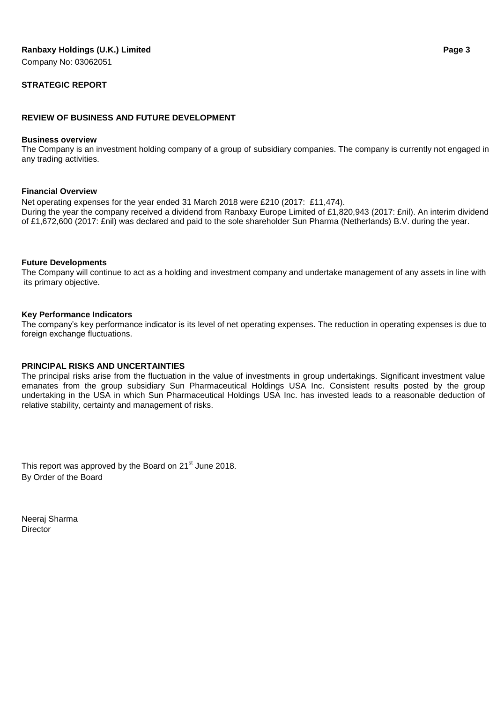Company No: 03062051

# **STRATEGIC REPORT**

## **REVIEW OF BUSINESS AND FUTURE DEVELOPMENT**

#### **Business overview**

The Company is an investment holding company of a group of subsidiary companies. The company is currently not engaged in any trading activities.

## **Financial Overview**

Net operating expenses for the year ended 31 March 2018 were £210 (2017: £11,474). During the year the company received a dividend from Ranbaxy Europe Limited of £1,820,943 (2017: £nil). An interim dividend of £1,672,600 (2017: £nil) was declared and paid to the sole shareholder Sun Pharma (Netherlands) B.V. during the year.

#### **Future Developments**

The Company will continue to act as a holding and investment company and undertake management of any assets in line with its primary objective.

#### **Key Performance Indicators**

The company's key performance indicator is its level of net operating expenses. The reduction in operating expenses is due to foreign exchange fluctuations.

#### **PRINCIPAL RISKS AND UNCERTAINTIES**

The principal risks arise from the fluctuation in the value of investments in group undertakings. Significant investment value emanates from the group subsidiary Sun Pharmaceutical Holdings USA Inc. Consistent results posted by the group undertaking in the USA in which Sun Pharmaceutical Holdings USA Inc. has invested leads to a reasonable deduction of relative stability, certainty and management of risks.

This report was approved by the Board on 21<sup>st</sup> June 2018. By Order of the Board

Neeraj Sharma **Director**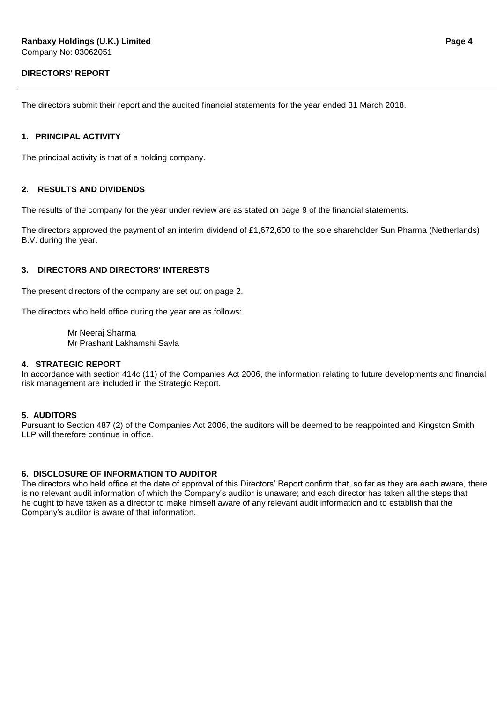## **DIRECTORS' REPORT**

The directors submit their report and the audited financial statements for the year ended 31 March 2018.

### **1. PRINCIPAL ACTIVITY**

The principal activity is that of a holding company.

## **2. RESULTS AND DIVIDENDS**

The results of the company for the year under review are as stated on page 9 of the financial statements.

The directors approved the payment of an interim dividend of £1,672,600 to the sole shareholder Sun Pharma (Netherlands) B.V. during the year.

### **3. DIRECTORS AND DIRECTORS' INTERESTS**

The present directors of the company are set out on page 2.

The directors who held office during the year are as follows:

Mr Neeraj Sharma Mr Prashant Lakhamshi Savla

#### **4. STRATEGIC REPORT**

In accordance with section 414c (11) of the Companies Act 2006, the information relating to future developments and financial risk management are included in the Strategic Report.

#### **5. AUDITORS**

Pursuant to Section 487 (2) of the Companies Act 2006, the auditors will be deemed to be reappointed and Kingston Smith LLP will therefore continue in office.

## **6. DISCLOSURE OF INFORMATION TO AUDITOR**

The directors who held office at the date of approval of this Directors' Report confirm that, so far as they are each aware, there is no relevant audit information of which the Company's auditor is unaware; and each director has taken all the steps that he ought to have taken as a director to make himself aware of any relevant audit information and to establish that the Company's auditor is aware of that information.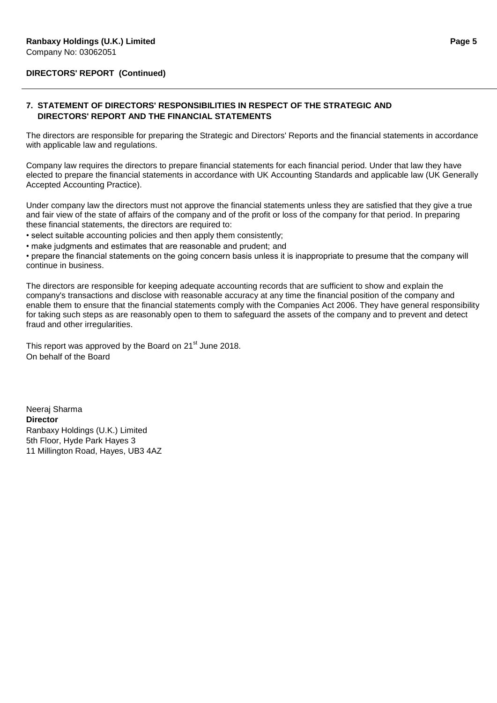# **DIRECTORS' REPORT (Continued)**

### **7. STATEMENT OF DIRECTORS' RESPONSIBILITIES IN RESPECT OF THE STRATEGIC AND DIRECTORS' REPORT AND THE FINANCIAL STATEMENTS**

The directors are responsible for preparing the Strategic and Directors' Reports and the financial statements in accordance with applicable law and regulations.

Company law requires the directors to prepare financial statements for each financial period. Under that law they have elected to prepare the financial statements in accordance with UK Accounting Standards and applicable law (UK Generally Accepted Accounting Practice).

Under company law the directors must not approve the financial statements unless they are satisfied that they give a true and fair view of the state of affairs of the company and of the profit or loss of the company for that period. In preparing these financial statements, the directors are required to:

• select suitable accounting policies and then apply them consistently;

• make judgments and estimates that are reasonable and prudent; and

• prepare the financial statements on the going concern basis unless it is inappropriate to presume that the company will continue in business.

The directors are responsible for keeping adequate accounting records that are sufficient to show and explain the company's transactions and disclose with reasonable accuracy at any time the financial position of the company and enable them to ensure that the financial statements comply with the Companies Act 2006. They have general responsibility for taking such steps as are reasonably open to them to safeguard the assets of the company and to prevent and detect fraud and other irregularities.

This report was approved by the Board on 21<sup>st</sup> June 2018. On behalf of the Board

Neeraj Sharma **Director** Ranbaxy Holdings (U.K.) Limited 5th Floor, Hyde Park Hayes 3 11 Millington Road, Hayes, UB3 4AZ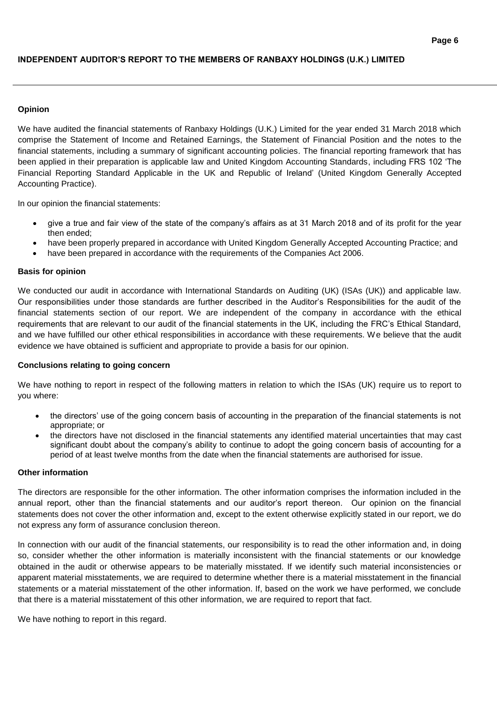# **Opinion**

We have audited the financial statements of Ranbaxy Holdings (U.K.) Limited for the year ended 31 March 2018 which comprise the Statement of Income and Retained Earnings, the Statement of Financial Position and the notes to the financial statements, including a summary of significant accounting policies. The financial reporting framework that has been applied in their preparation is applicable law and United Kingdom Accounting Standards, including FRS 102 'The Financial Reporting Standard Applicable in the UK and Republic of Ireland' (United Kingdom Generally Accepted Accounting Practice).

In our opinion the financial statements:

- give a true and fair view of the state of the company's affairs as at 31 March 2018 and of its profit for the year then ended;
- have been properly prepared in accordance with United Kingdom Generally Accepted Accounting Practice; and
- have been prepared in accordance with the requirements of the Companies Act 2006.

## **Basis for opinion**

We conducted our audit in accordance with International Standards on Auditing (UK) (ISAs (UK)) and applicable law. Our responsibilities under those standards are further described in the Auditor's Responsibilities for the audit of the financial statements section of our report. We are independent of the company in accordance with the ethical requirements that are relevant to our audit of the financial statements in the UK, including the FRC's Ethical Standard, and we have fulfilled our other ethical responsibilities in accordance with these requirements. We believe that the audit evidence we have obtained is sufficient and appropriate to provide a basis for our opinion.

## **Conclusions relating to going concern**

We have nothing to report in respect of the following matters in relation to which the ISAs (UK) require us to report to you where:

- the directors' use of the going concern basis of accounting in the preparation of the financial statements is not appropriate; or
- the directors have not disclosed in the financial statements any identified material uncertainties that may cast significant doubt about the company's ability to continue to adopt the going concern basis of accounting for a period of at least twelve months from the date when the financial statements are authorised for issue.

## **Other information**

The directors are responsible for the other information. The other information comprises the information included in the annual report, other than the financial statements and our auditor's report thereon. Our opinion on the financial statements does not cover the other information and, except to the extent otherwise explicitly stated in our report, we do not express any form of assurance conclusion thereon.

In connection with our audit of the financial statements, our responsibility is to read the other information and, in doing so, consider whether the other information is materially inconsistent with the financial statements or our knowledge obtained in the audit or otherwise appears to be materially misstated. If we identify such material inconsistencies or apparent material misstatements, we are required to determine whether there is a material misstatement in the financial statements or a material misstatement of the other information. If, based on the work we have performed, we conclude that there is a material misstatement of this other information, we are required to report that fact.

We have nothing to report in this regard.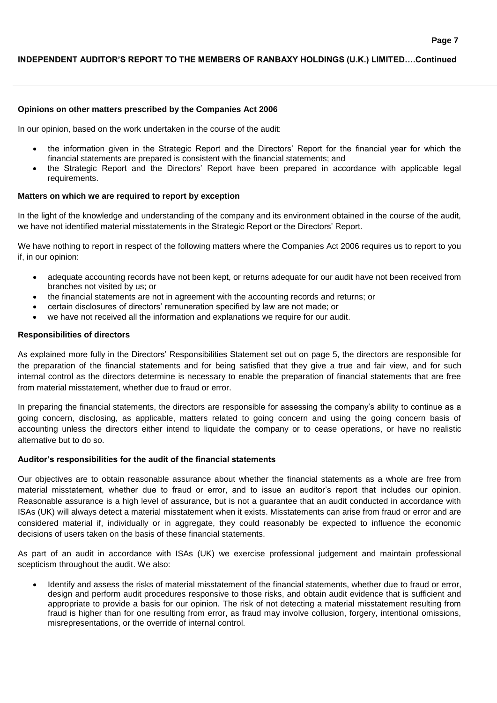### **INDEPENDENT AUDITOR'S REPORT TO THE MEMBERS OF RANBAXY HOLDINGS (U.K.) LIMITED….Continued**

#### **Opinions on other matters prescribed by the Companies Act 2006**

In our opinion, based on the work undertaken in the course of the audit:

- the information given in the Strategic Report and the Directors' Report for the financial year for which the financial statements are prepared is consistent with the financial statements; and
- the Strategic Report and the Directors' Report have been prepared in accordance with applicable legal requirements.

#### **Matters on which we are required to report by exception**

In the light of the knowledge and understanding of the company and its environment obtained in the course of the audit, we have not identified material misstatements in the Strategic Report or the Directors' Report.

We have nothing to report in respect of the following matters where the Companies Act 2006 requires us to report to you if, in our opinion:

- adequate accounting records have not been kept, or returns adequate for our audit have not been received from branches not visited by us; or
- the financial statements are not in agreement with the accounting records and returns; or
- certain disclosures of directors' remuneration specified by law are not made; or
- we have not received all the information and explanations we require for our audit.

#### **Responsibilities of directors**

As explained more fully in the Directors' Responsibilities Statement set out on page 5, the directors are responsible for the preparation of the financial statements and for being satisfied that they give a true and fair view, and for such internal control as the directors determine is necessary to enable the preparation of financial statements that are free from material misstatement, whether due to fraud or error.

In preparing the financial statements, the directors are responsible for assessing the company's ability to continue as a going concern, disclosing, as applicable, matters related to going concern and using the going concern basis of accounting unless the directors either intend to liquidate the company or to cease operations, or have no realistic alternative but to do so.

#### **Auditor's responsibilities for the audit of the financial statements**

Our objectives are to obtain reasonable assurance about whether the financial statements as a whole are free from material misstatement, whether due to fraud or error, and to issue an auditor's report that includes our opinion. Reasonable assurance is a high level of assurance, but is not a guarantee that an audit conducted in accordance with ISAs (UK) will always detect a material misstatement when it exists. Misstatements can arise from fraud or error and are considered material if, individually or in aggregate, they could reasonably be expected to influence the economic decisions of users taken on the basis of these financial statements.

As part of an audit in accordance with ISAs (UK) we exercise professional judgement and maintain professional scepticism throughout the audit. We also:

 Identify and assess the risks of material misstatement of the financial statements, whether due to fraud or error, design and perform audit procedures responsive to those risks, and obtain audit evidence that is sufficient and appropriate to provide a basis for our opinion. The risk of not detecting a material misstatement resulting from fraud is higher than for one resulting from error, as fraud may involve collusion, forgery, intentional omissions, misrepresentations, or the override of internal control.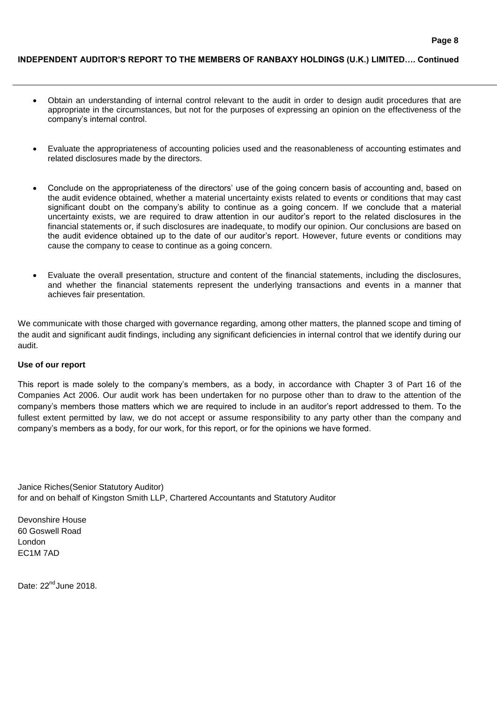### **INDEPENDENT AUDITOR'S REPORT TO THE MEMBERS OF RANBAXY HOLDINGS (U.K.) LIMITED…. Continued**

- Obtain an understanding of internal control relevant to the audit in order to design audit procedures that are appropriate in the circumstances, but not for the purposes of expressing an opinion on the effectiveness of the company's internal control.
- Evaluate the appropriateness of accounting policies used and the reasonableness of accounting estimates and related disclosures made by the directors.
- Conclude on the appropriateness of the directors' use of the going concern basis of accounting and, based on the audit evidence obtained, whether a material uncertainty exists related to events or conditions that may cast significant doubt on the company's ability to continue as a going concern. If we conclude that a material uncertainty exists, we are required to draw attention in our auditor's report to the related disclosures in the financial statements or, if such disclosures are inadequate, to modify our opinion. Our conclusions are based on the audit evidence obtained up to the date of our auditor's report. However, future events or conditions may cause the company to cease to continue as a going concern.
- Evaluate the overall presentation, structure and content of the financial statements, including the disclosures, and whether the financial statements represent the underlying transactions and events in a manner that achieves fair presentation.

We communicate with those charged with governance regarding, among other matters, the planned scope and timing of the audit and significant audit findings, including any significant deficiencies in internal control that we identify during our audit.

#### **Use of our report**

This report is made solely to the company's members, as a body, in accordance with Chapter 3 of Part 16 of the Companies Act 2006. Our audit work has been undertaken for no purpose other than to draw to the attention of the company's members those matters which we are required to include in an auditor's report addressed to them. To the fullest extent permitted by law, we do not accept or assume responsibility to any party other than the company and company's members as a body, for our work, for this report, or for the opinions we have formed.

Janice Riches(Senior Statutory Auditor) for and on behalf of Kingston Smith LLP, Chartered Accountants and Statutory Auditor

Devonshire House 60 Goswell Road London EC1M 7AD

Date: 22<sup>nd</sup> June 2018.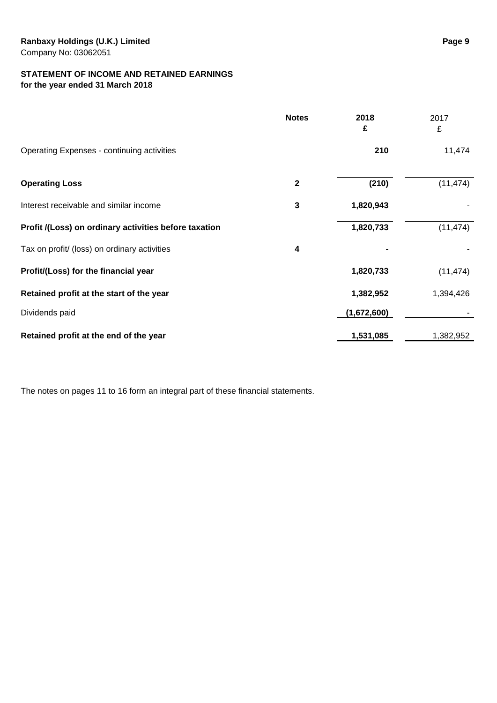# **STATEMENT OF INCOME AND RETAINED EARNINGS for the year ended 31 March 2018**

|                                                       | <b>Notes</b> | 2018<br>£   | 2017<br>£ |
|-------------------------------------------------------|--------------|-------------|-----------|
| <b>Operating Expenses - continuing activities</b>     |              | 210         | 11,474    |
| <b>Operating Loss</b>                                 | $\mathbf{2}$ | (210)       | (11, 474) |
| Interest receivable and similar income                | 3            | 1,820,943   |           |
| Profit /(Loss) on ordinary activities before taxation |              | 1,820,733   | (11, 474) |
| Tax on profit/ (loss) on ordinary activities          | 4            |             |           |
| Profit/(Loss) for the financial year                  |              | 1,820,733   | (11, 474) |
| Retained profit at the start of the year              |              | 1,382,952   | 1,394,426 |
| Dividends paid                                        |              | (1,672,600) |           |
| Retained profit at the end of the year                |              | 1,531,085   | 1,382,952 |

The notes on pages 11 to 16 form an integral part of these financial statements.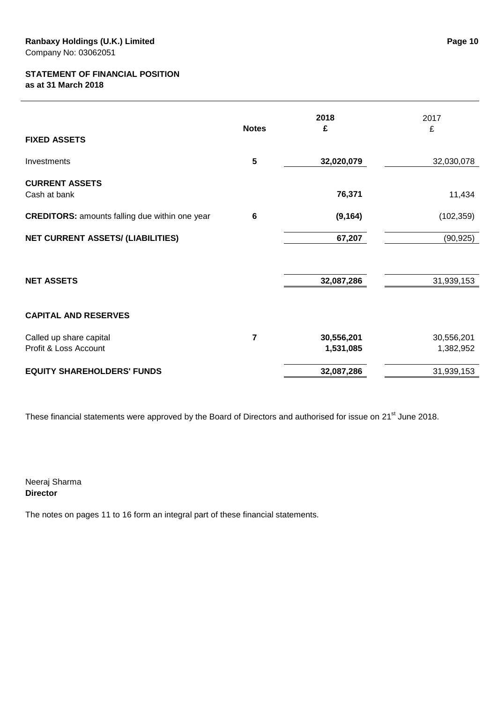### **STATEMENT OF FINANCIAL POSITION as at 31 March 2018**

| <b>FIXED ASSETS</b>                                   | <b>Notes</b>   | 2018<br>£               | 2017<br>£               |
|-------------------------------------------------------|----------------|-------------------------|-------------------------|
| Investments                                           | 5              | 32,020,079              | 32,030,078              |
| <b>CURRENT ASSETS</b><br>Cash at bank                 |                | 76,371                  | 11,434                  |
| <b>CREDITORS: amounts falling due within one year</b> | 6              | (9, 164)                | (102, 359)              |
| <b>NET CURRENT ASSETS/ (LIABILITIES)</b>              |                | 67,207                  | (90, 925)               |
| <b>NET ASSETS</b>                                     |                | 32,087,286              | 31,939,153              |
| <b>CAPITAL AND RESERVES</b>                           |                |                         |                         |
| Called up share capital<br>Profit & Loss Account      | $\overline{7}$ | 30,556,201<br>1,531,085 | 30,556,201<br>1,382,952 |
| <b>EQUITY SHAREHOLDERS' FUNDS</b>                     |                | 32,087,286              | 31,939,153              |

These financial statements were approved by the Board of Directors and authorised for issue on 21<sup>st</sup> June 2018.

Neeraj Sharma **Director**

The notes on pages 11 to 16 form an integral part of these financial statements.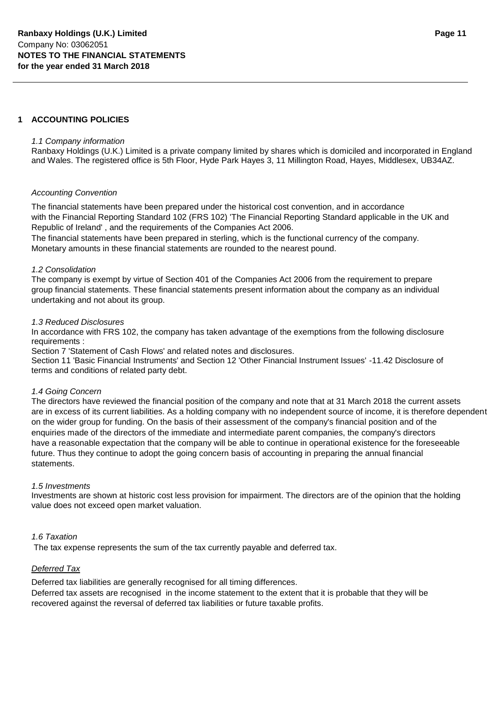## **1 ACCOUNTING POLICIES**

#### *1.1 Company information*

Ranbaxy Holdings (U.K.) Limited is a private company limited by shares which is domiciled and incorporated in England and Wales. The registered office is 5th Floor, Hyde Park Hayes 3, 11 Millington Road, Hayes, Middlesex, UB34AZ.

#### *Accounting Convention*

The financial statements have been prepared under the historical cost convention, and in accordance with the Financial Reporting Standard 102 (FRS 102) 'The Financial Reporting Standard applicable in the UK and Republic of Ireland' , and the requirements of the Companies Act 2006.

The financial statements have been prepared in sterling, which is the functional currency of the company. Monetary amounts in these financial statements are rounded to the nearest pound.

#### *1.2 Consolidation*

The company is exempt by virtue of Section 401 of the Companies Act 2006 from the requirement to prepare group financial statements. These financial statements present information about the company as an individual undertaking and not about its group.

#### *1.3 Reduced Disclosures*

In accordance with FRS 102, the company has taken advantage of the exemptions from the following disclosure requirements :

Section 7 'Statement of Cash Flows' and related notes and disclosures.

Section 11 'Basic Financial Instruments' and Section 12 'Other Financial Instrument Issues' -11.42 Disclosure of terms and conditions of related party debt.

#### *1.4 Going Concern*

The directors have reviewed the financial position of the company and note that at 31 March 2018 the current assets are in excess of its current liabilities. As a holding company with no independent source of income, it is therefore dependent on the wider group for funding. On the basis of their assessment of the company's financial position and of the enquiries made of the directors of the immediate and intermediate parent companies, the company's directors have a reasonable expectation that the company will be able to continue in operational existence for the foreseeable future. Thus they continue to adopt the going concern basis of accounting in preparing the annual financial statements.

#### *1.5 Investments*

Investments are shown at historic cost less provision for impairment. The directors are of the opinion that the holding value does not exceed open market valuation.

## *1.6 Taxation*

The tax expense represents the sum of the tax currently payable and deferred tax.

## *Deferred Tax*

Deferred tax liabilities are generally recognised for all timing differences.

Deferred tax assets are recognised in the income statement to the extent that it is probable that they will be recovered against the reversal of deferred tax liabilities or future taxable profits.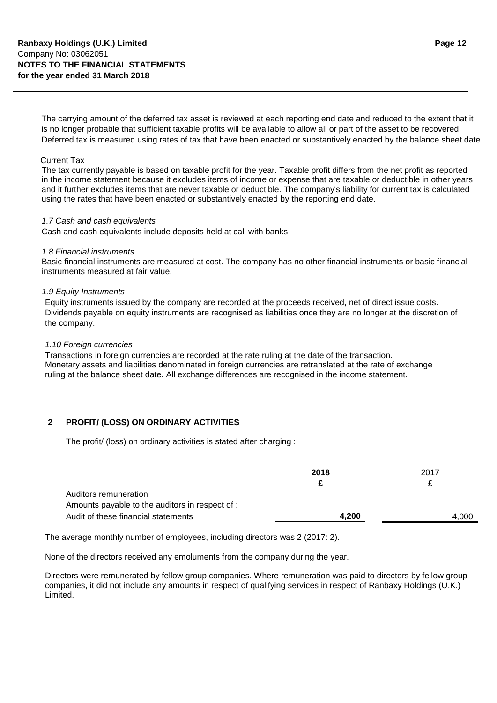The carrying amount of the deferred tax asset is reviewed at each reporting end date and reduced to the extent that it is no longer probable that sufficient taxable profits will be available to allow all or part of the asset to be recovered. Deferred tax is measured using rates of tax that have been enacted or substantively enacted by the balance sheet date.

#### Current Tax

The tax currently payable is based on taxable profit for the year. Taxable profit differs from the net profit as reported in the income statement because it excludes items of income or expense that are taxable or deductible in other years and it further excludes items that are never taxable or deductible. The company's liability for current tax is calculated using the rates that have been enacted or substantively enacted by the reporting end date.

#### *1.7 Cash and cash equivalents*

Cash and cash equivalents include deposits held at call with banks.

#### *1.8 Financial instruments*

Basic financial instruments are measured at cost. The company has no other financial instruments or basic financial instruments measured at fair value.

#### *1.9 Equity Instruments*

Equity instruments issued by the company are recorded at the proceeds received, net of direct issue costs. Dividends payable on equity instruments are recognised as liabilities once they are no longer at the discretion of the company.

### *1.10 Foreign currencies*

Transactions in foreign currencies are recorded at the rate ruling at the date of the transaction. Monetary assets and liabilities denominated in foreign currencies are retranslated at the rate of exchange ruling at the balance sheet date. All exchange differences are recognised in the income statement.

# **2 PROFIT/ (LOSS) ON ORDINARY ACTIVITIES**

The profit/ (loss) on ordinary activities is stated after charging :

|                                                 | 2018  | 2017  |
|-------------------------------------------------|-------|-------|
|                                                 |       |       |
| Auditors remuneration                           |       |       |
| Amounts payable to the auditors in respect of : |       |       |
| Audit of these financial statements             | 4,200 | 4.000 |
|                                                 |       |       |

The average monthly number of employees, including directors was 2 (2017: 2).

None of the directors received any emoluments from the company during the year.

Directors were remunerated by fellow group companies. Where remuneration was paid to directors by fellow group companies, it did not include any amounts in respect of qualifying services in respect of Ranbaxy Holdings (U.K.) Limited.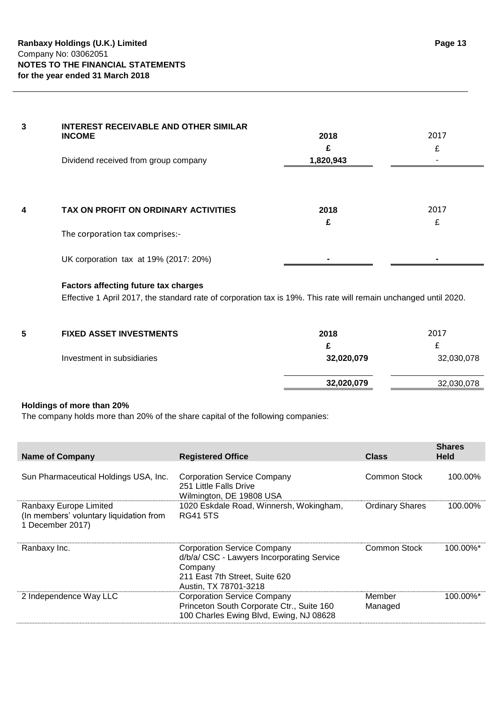| 3 | <b>INTEREST RECEIVABLE AND OTHER SIMILAR</b><br><b>INCOME</b><br>Dividend received from group company | 2018<br>£<br>1,820,943 | 2017<br>£ |
|---|-------------------------------------------------------------------------------------------------------|------------------------|-----------|
| 4 | TAX ON PROFIT ON ORDINARY ACTIVITIES                                                                  | 2018                   | 2017      |
|   | The corporation tax comprises:-                                                                       | £                      | £         |
|   | UK corporation tax at 19% (2017: 20%)                                                                 |                        |           |

# **Factors affecting future tax charges**

Effective 1 April 2017, the standard rate of corporation tax is 19%. This rate will remain unchanged until 2020.

| 5<br><b>FIXED ASSET INVESTMENTS</b> | 2018       | 2017       |
|-------------------------------------|------------|------------|
|                                     |            |            |
| Investment in subsidiaries          | 32,020,079 | 32,030,078 |
|                                     |            |            |
|                                     | 32,020,079 | 32,030,078 |

### **Holdings of more than 20%**

The company holds more than 20% of the share capital of the following companies:

| <b>Name of Company</b>                                                                | <b>Registered Office</b>                                                                                                                               | <b>Class</b>           | <b>Shares</b><br><b>Held</b> |
|---------------------------------------------------------------------------------------|--------------------------------------------------------------------------------------------------------------------------------------------------------|------------------------|------------------------------|
| Sun Pharmaceutical Holdings USA, Inc.                                                 | <b>Corporation Service Company</b><br>251 Little Falls Drive<br>Wilmington, DE 19808 USA                                                               | Common Stock           | 100.00%                      |
| Ranbaxy Europe Limited<br>(In members' voluntary liquidation from<br>1 December 2017) | 1020 Eskdale Road, Winnersh, Wokingham,<br>RG41 5TS                                                                                                    | <b>Ordinary Shares</b> | 100.00%                      |
| Ranbaxy Inc.                                                                          | <b>Corporation Service Company</b><br>d/b/a/ CSC - Lawyers Incorporating Service<br>Company<br>211 East 7th Street, Suite 620<br>Austin, TX 78701-3218 | Common Stock           | 100.00%*                     |
| 2 Independence Way LLC                                                                | <b>Corporation Service Company</b><br>Princeton South Corporate Ctr., Suite 160<br>100 Charles Ewing Blvd, Ewing, NJ 08628                             | Member<br>Managed      | 100.00%*                     |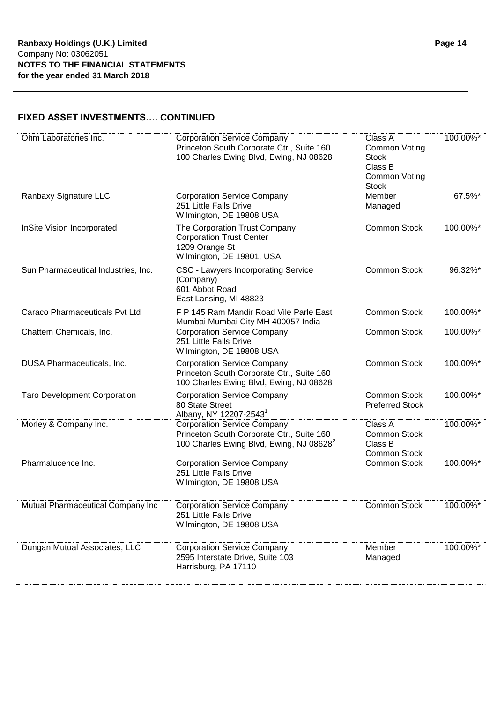# **FIXED ASSET INVESTMENTS…. CONTINUED**

| Ohm Laboratories Inc.               | <b>Corporation Service Company</b><br>Princeton South Corporate Ctr., Suite 160<br>100 Charles Ewing Blvd, Ewing, NJ 08628              | Class A<br>Common Voting<br><b>Stock</b><br>Class B<br><b>Common Voting</b><br><b>Stock</b> | 100.00%* |
|-------------------------------------|-----------------------------------------------------------------------------------------------------------------------------------------|---------------------------------------------------------------------------------------------|----------|
| Ranbaxy Signature LLC               | <b>Corporation Service Company</b><br>251 Little Falls Drive<br>Wilmington, DE 19808 USA                                                | Member<br>Managed                                                                           | 67.5%*   |
| InSite Vision Incorporated          | The Corporation Trust Company<br><b>Corporation Trust Center</b><br>1209 Orange St<br>Wilmington, DE 19801, USA                         | <b>Common Stock</b>                                                                         | 100.00%* |
| Sun Pharmaceutical Industries, Inc. | <b>CSC - Lawyers Incorporating Service</b><br>(Company)<br>601 Abbot Road<br>East Lansing, MI 48823                                     | <b>Common Stock</b>                                                                         | 96.32%*  |
| Caraco Pharmaceuticals Pvt Ltd      | F P 145 Ram Mandir Road Vile Parle East<br>Mumbai Mumbai City MH 400057 India                                                           | <b>Common Stock</b>                                                                         | 100.00%* |
| Chattem Chemicals, Inc.             | <b>Corporation Service Company</b><br>251 Little Falls Drive<br>Wilmington, DE 19808 USA                                                | <b>Common Stock</b>                                                                         | 100.00%* |
| DUSA Pharmaceuticals, Inc.          | <b>Corporation Service Company</b><br>Princeton South Corporate Ctr., Suite 160<br>100 Charles Ewing Blvd, Ewing, NJ 08628              | <b>Common Stock</b>                                                                         | 100.00%* |
| <b>Taro Development Corporation</b> | <b>Corporation Service Company</b><br>80 State Street<br>Albany, NY 12207-2543 <sup>1</sup>                                             | <b>Common Stock</b><br><b>Preferred Stock</b>                                               | 100.00%* |
| Morley & Company Inc.               | <b>Corporation Service Company</b><br>Princeton South Corporate Ctr., Suite 160<br>100 Charles Ewing Blvd, Ewing, NJ 08628 <sup>2</sup> | Class A<br><b>Common Stock</b><br>Class B<br><b>Common Stock</b>                            | 100.00%* |
| Pharmalucence Inc.                  | <b>Corporation Service Company</b><br>251 Little Falls Drive<br>Wilmington, DE 19808 USA                                                | <b>Common Stock</b>                                                                         | 100.00%* |
| Mutual Pharmaceutical Company Inc   | <b>Corporation Service Company</b><br>251 Little Falls Drive<br>Wilmington, DE 19808 USA                                                | Common Stock                                                                                | 100.00%* |
| Dungan Mutual Associates, LLC       | <b>Corporation Service Company</b><br>2595 Interstate Drive, Suite 103<br>Harrisburg, PA 17110                                          | Member<br>Managed                                                                           | 100.00%* |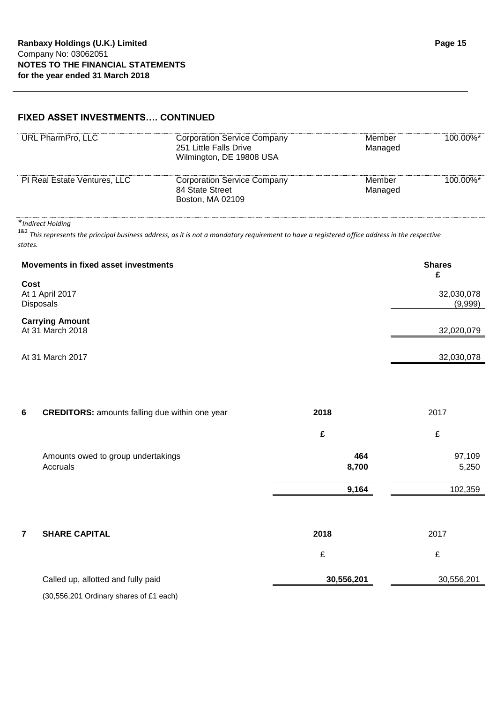# **FIXED ASSET INVESTMENTS…. CONTINUED**

| URL PharmPro, LLC            | <b>Corporation Service Company</b> | Member  | 100.00%*     |
|------------------------------|------------------------------------|---------|--------------|
|                              | 251 Little Falls Drive             | Managed |              |
|                              | Wilmington, DE 19808 USA           |         |              |
|                              |                                    |         |              |
| PI Real Estate Ventures, LLC | <b>Corporation Service Company</b> | Member  | $100.00\%$ * |
|                              | 84 State Street                    | Managed |              |
|                              | Boston, MA 02109                   |         |              |
|                              |                                    |         |              |

\**Indirect Holding*

182 This represents the principal business address, as it is not a mandatory requirement to have a registered office address in the respective *states.*

|                | Movements in fixed asset investments                  |              | <b>Shares</b><br>£    |
|----------------|-------------------------------------------------------|--------------|-----------------------|
| <b>Cost</b>    | At 1 April 2017<br>Disposals                          |              | 32,030,078<br>(9,999) |
|                | <b>Carrying Amount</b><br>At 31 March 2018            |              | 32,020,079            |
|                | At 31 March 2017                                      |              | 32,030,078            |
|                |                                                       |              |                       |
| 6              | <b>CREDITORS:</b> amounts falling due within one year | 2018         | 2017                  |
|                |                                                       | £            | £                     |
|                | Amounts owed to group undertakings<br><b>Accruals</b> | 464<br>8,700 | 97,109<br>5,250       |
|                |                                                       | 9,164        | 102,359               |
| $\overline{7}$ | <b>SHARE CAPITAL</b>                                  | 2018         | 2017                  |
|                |                                                       | £            | £                     |
|                | Called up, allotted and fully paid                    | 30,556,201   | 30,556,201            |

(30,556,201 Ordinary shares of £1 each)